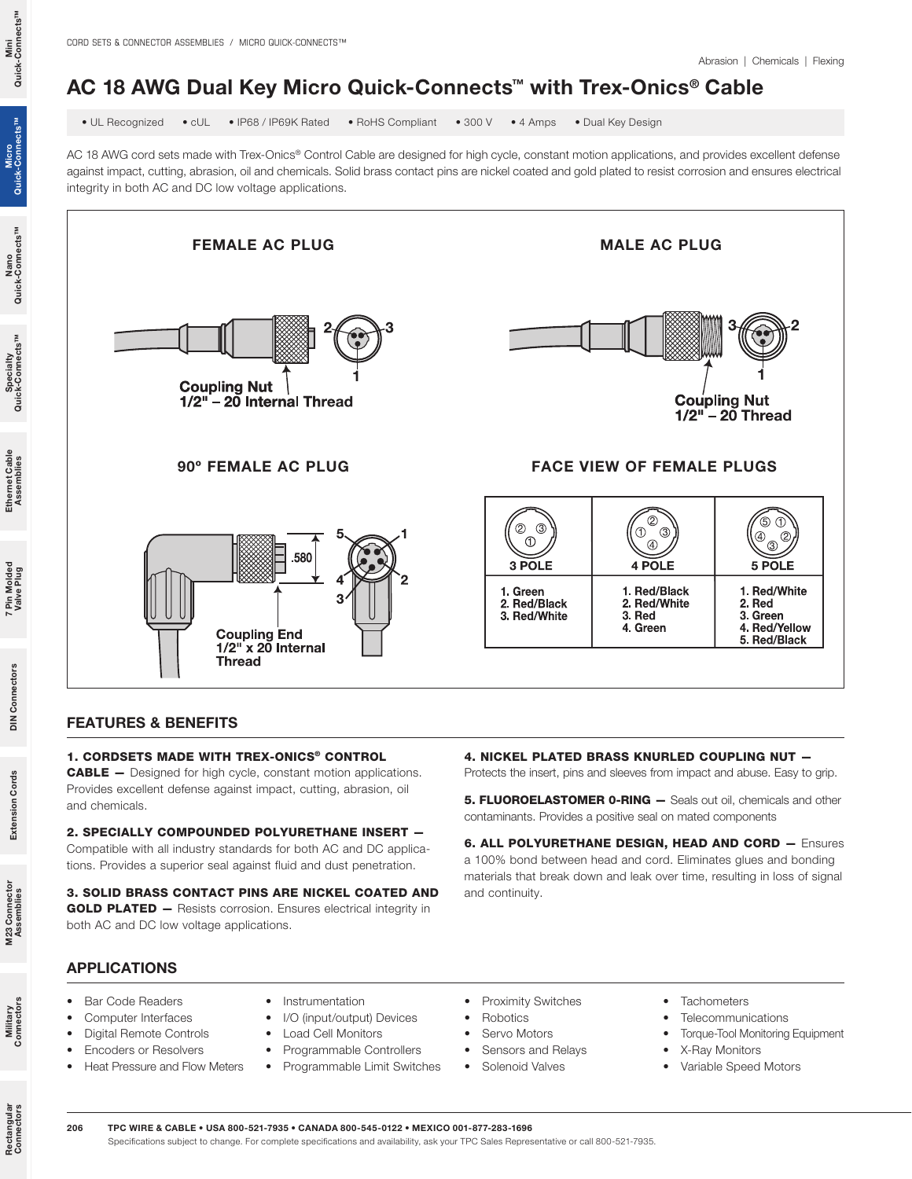# AC 18 AWG Dual Key Micro Quick-Connects™ with Trex-Onics® Cable

• UL Recognized • cUL • IP68 / IP69K Rated • RoHS Compliant • 300 V • 4 Amps • Dual Key Design

AC 18 AWG cord sets made with Trex-Onics® Control Cable are designed for high cycle, constant motion applications, and provides excellent defense against impact, cutting, abrasion, oil and chemicals. Solid brass contact pins are nickel coated and gold plated to resist corrosion and ensures electrical integrity in both AC and DC low voltage applications.

FEMALE AC PLUG MALE AC PLUG **Coupling Nut** 1/2" - 20 Internal Thread **Coupling Nut**  $1/2"$  -  $20$  Thread 90º FEMALE AC PLUG FACE VIEW OF FEMALE PLUGS  $^{\circledR}$ (5) (T)  $^{\circledR}$  $(3)$  $\bigcap$  $\circled{3}$  $\varpi$  $\circledcirc$  $\circledA$ .580 3 POLE 4 POLE 5 POLE 1. Red/Black 1. Red/White 1. Green 2. Red/Black 2. Red/White 2. Red 3. Red/White 3. Red 3. Green 4. Red/Yellow 4. Green **Coupling End** 5. Red/Black  $1/2$ " x 20 Internal **Thread** 

### FEATURES & BENEFITS

#### 1. CORDSETS MADE WITH TREX-ONICS® CONTROL

**CABLE** - Designed for high cycle, constant motion applications. Provides excellent defense against impact, cutting, abrasion, oil and chemicals.

2. SPECIALLY COMPOUNDED POLYURETHANE INSERT —

Compatible with all industry standards for both AC and DC applications. Provides a superior seal against fluid and dust penetration.

3. SOLID BRASS CONTACT PINS ARE NICKEL COATED AND **GOLD PLATED -** Resists corrosion. Ensures electrical integrity in both AC and DC low voltage applications.

#### 4. NICKEL PLATED BRASS KNURLED COUPLING NUT —

Protects the insert, pins and sleeves from impact and abuse. Easy to grip.

**5. FLUOROELASTOMER 0-RING - Seals out oil, chemicals and other** contaminants. Provides a positive seal on mated components

6. ALL POLYURETHANE DESIGN, HEAD AND CORD — Ensures a 100% bond between head and cord. Eliminates glues and bonding materials that break down and leak over time, resulting in loss of signal and continuity.

## APPLICATIONS

- Bar Code Readers
- Computer Interfaces
- Digital Remote Controls
- Encoders or Resolvers
- Heat Pressure and Flow Meters
- **Instrumentation**
- I/O (input/output) Devices
- Load Cell Monitors
- Programmable Controllers
- Programmable Limit Switches
- Proximity Switches
- **Robotics**
- Servo Motors
- Sensors and Relays
- Solenoid Valves
- Tachometers
- **Telecommunications**
- Torque-Tool Monitoring Equipment
- X-Ray Monitors
- Variable Speed Motors

Nano<br>Quick-Connects<sup>™</sup> Quick-Connects™

Extension Cords

**Extension Cords** 

M23 Connector Assemblies

Rectangular<br>Connectors

Military<br>Connectors

206